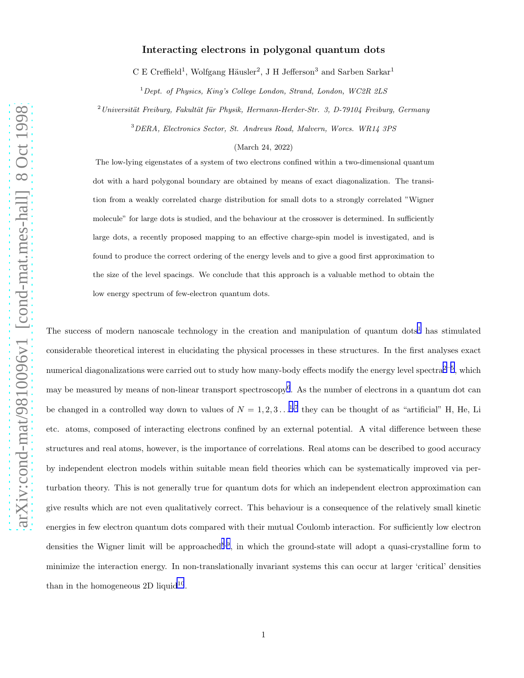## Interacting electrons in polygonal quantum dots

 $C E$  Creffield<sup>1</sup>, Wolfgang Häusler<sup>2</sup>, J H Jefferson<sup>3</sup> and Sarben Sarkar<sup>1</sup>

 $1$  Dept. of Physics, King's College London, Strand, London, WC2R 2LS

 $2$ Universität Freiburg, Fakultät für Physik, Hermann-Herder-Str. 3, D-79104 Freiburg, Germany

<sup>3</sup>DERA, Electronics Sector, St. Andrews Road, Malvern, Worcs. WR14 3PS

## (March 24, 2022)

The low-lying eigenstates of a system of two electrons confined within a two-dimensional quantum dot with a hard polygonal boundary are obtained by means of exact diagonalization. The transition from a weakly correlated charge distribution for small dots to a strongly correlated "Wigner molecule" for large dots is studied, and the behaviour at the crossover is determined. In sufficiently large dots, a recently proposed mapping to an effective charge-spin model is investigated, and is found to produce the correct ordering of the energy levels and to give a good first approximation to the size of the level spacings. We conclude that this approach is a valuable method to obtain the low energy spectrum of few-electron quantum dots.

The success of modern nanoscale technology in the creation and manipulation of quantum dots<sup>[1](#page-9-0)</sup> has stimulated considerable theoretical interest in elucidating the physical processes in these structures. In the first analyses exact numerical diagonalizations were carried out to study how many-body effects modify the energy level spectra<sup>[2](#page-9-0)–[5](#page-9-0)</sup>, which may be measured by means of non-linear transport spectroscopy<sup>[6](#page-9-0)</sup>. As the number of electrons in a quantum dot can be changed in a controlled way down to values of  $N = 1, 2, 3...^{1,7}$  $N = 1, 2, 3...^{1,7}$  $N = 1, 2, 3...^{1,7}$  $N = 1, 2, 3...^{1,7}$  $N = 1, 2, 3...^{1,7}$  they can be thought of as "artificial" H, He, Li etc. atoms, composed of interacting electrons confined by an external potential. A vital difference between these structures and real atoms, however, is the importance of correlations. Real atoms can be described to good accuracy by independent electron models within suitable mean field theories which can be systematically improved via perturbation theory. This is not generally true for quantum dots for which an independent electron approximation can give results which are not even qualitatively correct. This behaviour is a consequence of the relatively small kinetic energies in few electron quantum dots compared with their mutual Coulomb interaction. For sufficiently low electron densities the Wigner limit will be approached<sup>[8](#page-9-0),[9](#page-9-0)</sup>, in which the ground-state will adopt a quasi-crystalline form to minimize the interaction energy. In non-translationally invariant systems this can occur at larger 'critical' densities than in the homogeneous  $2D$  liquid<sup>[10](#page-9-0)</sup>.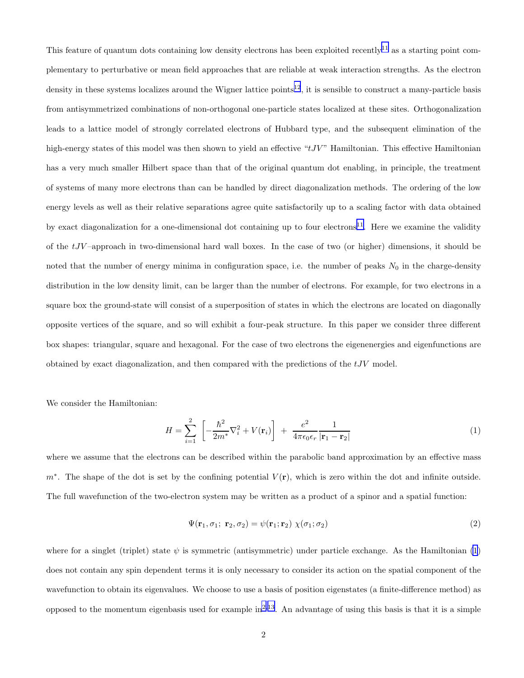<span id="page-1-0"></span>This feature of quantum dots containing low density electrons has been exploited recently<sup>[11](#page-9-0)</sup> as a starting point complementary to perturbative or mean field approaches that are reliable at weak interaction strengths. As the electron density in these systems localizes around the Wigner lattice points<sup>[12](#page-9-0)</sup>, it is sensible to construct a many-particle basis from antisymmetrized combinations of non-orthogonal one-particle states localized at these sites. Orthogonalization leads to a lattice model of strongly correlated electrons of Hubbard type, and the subsequent elimination of the high-energy states of this model was then shown to yield an effective " $tJV$ " Hamiltonian. This effective Hamiltonian has a very much smaller Hilbert space than that of the original quantum dot enabling, in principle, the treatment of systems of many more electrons than can be handled by direct diagonalization methods. The ordering of the low energy levels as well as their relative separations agree quite satisfactorily up to a scaling factor with data obtained by exact diagonalization for a one-dimensional dot containing up to four electrons<sup>[11](#page-9-0)</sup>. Here we examine the validity of the  $tJV$ -approach in two-dimensional hard wall boxes. In the case of two (or higher) dimensions, it should be noted that the number of energy minima in configuration space, i.e. the number of peaks  $N_0$  in the charge-density distribution in the low density limit, can be larger than the number of electrons. For example, for two electrons in a square box the ground-state will consist of a superposition of states in which the electrons are located on diagonally opposite vertices of the square, and so will exhibit a four-peak structure. In this paper we consider three different box shapes: triangular, square and hexagonal. For the case of two electrons the eigenenergies and eigenfunctions are obtained by exact diagonalization, and then compared with the predictions of the  $tJV$  model.

We consider the Hamiltonian:

$$
H = \sum_{i=1}^{2} \left[ -\frac{\hbar^2}{2m^*} \nabla_i^2 + V(\mathbf{r}_i) \right] + \frac{e^2}{4\pi\epsilon_0\epsilon_r} \frac{1}{|\mathbf{r}_1 - \mathbf{r}_2|}
$$
(1)

where we assume that the electrons can be described within the parabolic band approximation by an effective mass  $m^*$ . The shape of the dot is set by the confining potential  $V(\mathbf{r})$ , which is zero within the dot and infinite outside. The full wavefunction of the two-electron system may be written as a product of a spinor and a spatial function:

$$
\Psi(\mathbf{r}_1, \sigma_1; \; \mathbf{r}_2, \sigma_2) = \psi(\mathbf{r}_1; \mathbf{r}_2) \; \chi(\sigma_1; \sigma_2) \tag{2}
$$

where for a singlet (triplet) state  $\psi$  is symmetric (antisymmetric) under particle exchange. As the Hamiltonian (1) does not contain any spin dependent terms it is only necessary to consider its action on the spatial component of the wavefunction to obtain its eigenvalues. We choose to use a basis of position eigenstates (a finite-difference method) as opposed to the momentum eigenbasis used for example  $in^{2,13}$  $in^{2,13}$  $in^{2,13}$  $in^{2,13}$  $in^{2,13}$ . An advantage of using this basis is that it is a simple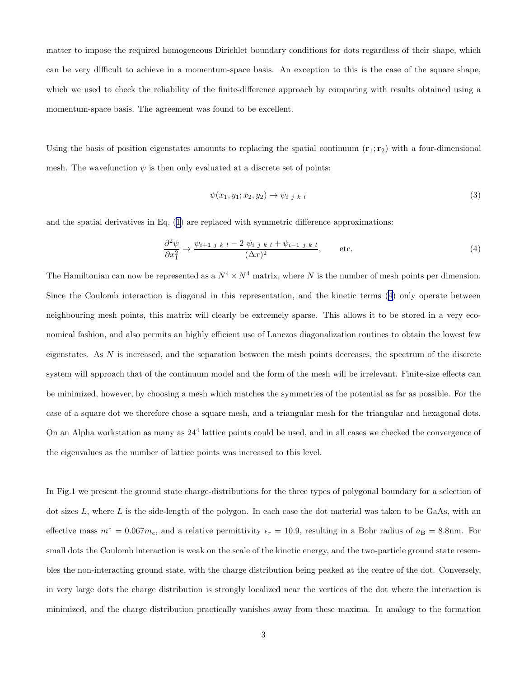matter to impose the required homogeneous Dirichlet boundary conditions for dots regardless of their shape, which can be very difficult to achieve in a momentum-space basis. An exception to this is the case of the square shape, which we used to check the reliability of the finite-difference approach by comparing with results obtained using a momentum-space basis. The agreement was found to be excellent.

Using the basis of position eigenstates amounts to replacing the spatial continuum  $(\mathbf{r}_1; \mathbf{r}_2)$  with a four-dimensional mesh. The wavefunction  $\psi$  is then only evaluated at a discrete set of points:

$$
\psi(x_1, y_1; x_2, y_2) \to \psi_{i \ j \ k \ l} \tag{3}
$$

and the spatial derivatives in Eq.([1\)](#page-1-0) are replaced with symmetric difference approximations:

$$
\frac{\partial^2 \psi}{\partial x_1^2} \to \frac{\psi_{i+1 \ j \ k \ l} - 2 \ \psi_{i \ j \ k \ l} + \psi_{i-1 \ j \ k \ l}}{(\Delta x)^2}, \qquad \text{etc.}
$$
\n
$$
(4)
$$

The Hamiltonian can now be represented as a  $N^4 \times N^4$  matrix, where N is the number of mesh points per dimension. Since the Coulomb interaction is diagonal in this representation, and the kinetic terms (4) only operate between neighbouring mesh points, this matrix will clearly be extremely sparse. This allows it to be stored in a very economical fashion, and also permits an highly efficient use of Lanczos diagonalization routines to obtain the lowest few eigenstates. As  $N$  is increased, and the separation between the mesh points decreases, the spectrum of the discrete system will approach that of the continuum model and the form of the mesh will be irrelevant. Finite-size effects can be minimized, however, by choosing a mesh which matches the symmetries of the potential as far as possible. For the case of a square dot we therefore chose a square mesh, and a triangular mesh for the triangular and hexagonal dots. On an Alpha workstation as many as  $24<sup>4</sup>$  lattice points could be used, and in all cases we checked the convergence of the eigenvalues as the number of lattice points was increased to this level.

In Fig.1 we present the ground state charge-distributions for the three types of polygonal boundary for a selection of dot sizes  $L$ , where  $L$  is the side-length of the polygon. In each case the dot material was taken to be GaAs, with an effective mass  $m^* = 0.067m_e$ , and a relative permittivity  $\epsilon_r = 10.9$ , resulting in a Bohr radius of  $a_B = 8.8$ nm. For small dots the Coulomb interaction is weak on the scale of the kinetic energy, and the two-particle ground state resembles the non-interacting ground state, with the charge distribution being peaked at the centre of the dot. Conversely, in very large dots the charge distribution is strongly localized near the vertices of the dot where the interaction is minimized, and the charge distribution practically vanishes away from these maxima. In analogy to the formation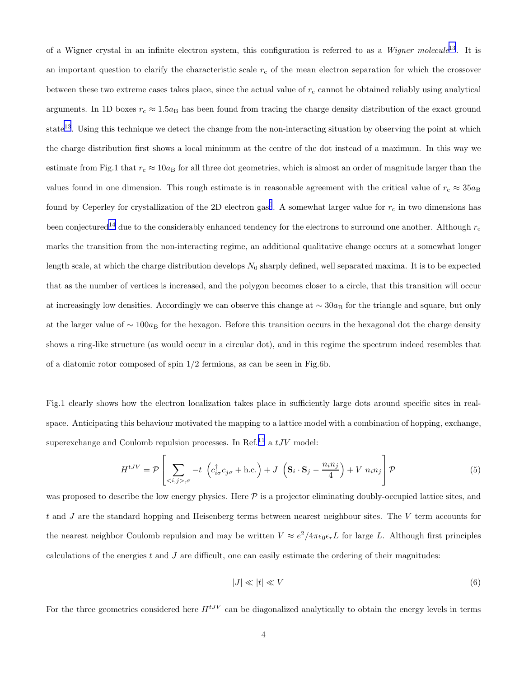<span id="page-3-0"></span>of a Wigner crystal in an infinite electron system, this configuration is referred to as a Wigner molecule<sup>[13](#page-9-0)</sup>. It is an important question to clarify the characteristic scale  $r_c$  of the mean electron separation for which the crossover between these two extreme cases takes place, since the actual value of  $r_c$  cannot be obtained reliably using analytical arguments. In 1D boxes  $r_c \approx 1.5a_B$  has been found from tracing the charge density distribution of the exact ground state<sup>[13](#page-9-0)</sup>. Using this technique we detect the change from the non-interacting situation by observing the point at which the charge distribution first shows a local minimum at the centre of the dot instead of a maximum. In this way we estimate from Fig.1 that  $r_c \approx 10a_B$  for all three dot geometries, which is almost an order of magnitude larger than the values found in one dimension. This rough estimate is in reasonable agreement with the critical value of  $r_c \approx 35a_B$ found by Ceperley for crystallization of the 2D electron gas<sup>[9](#page-9-0)</sup>. A somewhat larger value for  $r_c$  in two dimensions has been conjectured<sup>[14](#page-9-0)</sup> due to the considerably enhanced tendency for the electrons to surround one another. Although  $r_c$ marks the transition from the non-interacting regime, an additional qualitative change occurs at a somewhat longer length scale, at which the charge distribution develops  $N_0$  sharply defined, well separated maxima. It is to be expected that as the number of vertices is increased, and the polygon becomes closer to a circle, that this transition will occur at increasingly low densities. Accordingly we can observe this change at  $\sim 30a_B$  for the triangle and square, but only at the larger value of ∼ 100 $a_B$  for the hexagon. Before this transition occurs in the hexagonal dot the charge density shows a ring-like structure (as would occur in a circular dot), and in this regime the spectrum indeed resembles that of a diatomic rotor composed of spin  $1/2$  fermions, as can be seen in Fig.6b.

Fig.1 clearly shows how the electron localization takes place in sufficiently large dots around specific sites in realspace. Anticipating this behaviour motivated the mapping to a lattice model with a combination of hopping, exchange, superexchange and Coulomb repulsion processes. In Ref.<sup>[11](#page-9-0)</sup> a  $tJV$  model:

$$
H^{tJV} = \mathcal{P}\left[\sum_{\langle i,j\rangle,\sigma} -t\left(c_{i\sigma}^\dagger c_{j\sigma} + \text{h.c.}\right) + J\left(\mathbf{S}_i \cdot \mathbf{S}_j - \frac{n_i n_j}{4}\right) + V\ n_i n_j\right] \mathcal{P} \tag{5}
$$

was proposed to describe the low energy physics. Here  $\mathcal P$  is a projector eliminating doubly-occupied lattice sites, and t and J are the standard hopping and Heisenberg terms between nearest neighbour sites. The V term accounts for the nearest neighbor Coulomb repulsion and may be written  $V \approx e^2/4\pi\epsilon_0\epsilon_r L$  for large L. Although first principles calculations of the energies  $t$  and  $J$  are difficult, one can easily estimate the ordering of their magnitudes:

$$
|J| \ll |t| \ll V \tag{6}
$$

For the three geometries considered here  $H^{tJV}$  can be diagonalized analytically to obtain the energy levels in terms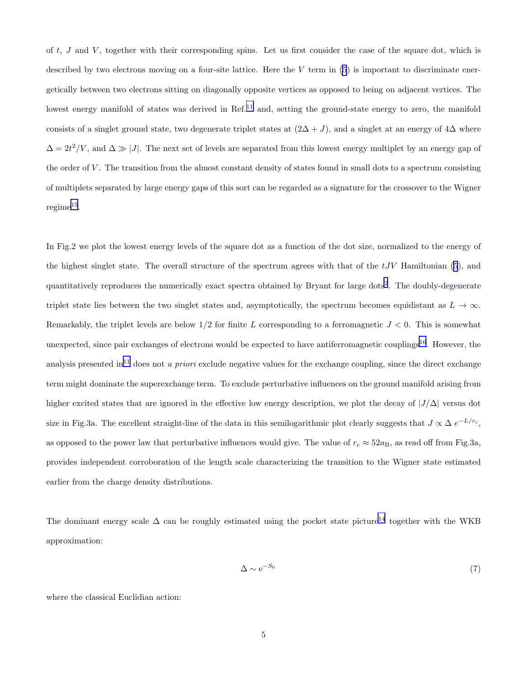of  $t$ ,  $J$  and  $V$ , together with their corresponding spins. Let us first consider the case of the square dot, which is described by two electrons moving on a four-site lattice. Here the  $V$  term in  $(5)$  is important to discriminate energetically between two electrons sitting on diagonally opposite vertices as opposed to being on adjacent vertices. The lowest energy manifold of states was derived in Ref.<sup>[11](#page-9-0)</sup> and, setting the ground-state energy to zero, the manifold consists of a singlet ground state, two degenerate triplet states at  $(2\Delta + J)$ , and a singlet at an energy of  $4\Delta$  where  $\Delta = 2t^2/V$ , and  $\Delta \gg |J|$ . The next set of levels are separated from this lowest energy multiplet by an energy gap of the order of  $V$ . The transition from the almost constant density of states found in small dots to a spectrum consisting of multiplets separated by large energy gaps of this sort can be regarded as a signature for the crossover to the Wigner  $regime<sup>15</sup>$  $regime<sup>15</sup>$  $regime<sup>15</sup>$ .

In Fig.2 we plot the lowest energy levels of the square dot as a function of the dot size, normalized to the energy of the highest singlet state. The overall structure of the spectrum agrees with that of the  $tJV$  Hamiltonian  $(5)$ , and quantitatively reproduces the numerically exact spectra obtained by Bryant for large dots[2](#page-9-0) . The doubly-degenerate triplet state lies between the two singlet states and, asymptotically, the spectrum becomes equidistant as  $L \to \infty$ . Remarkably, the triplet levels are below  $1/2$  for finite L corresponding to a ferromagnetic  $J < 0$ . This is somewhat unexpected, since pair exchanges of electrons would be expected to have antiferromagnetic couplings<sup>[16](#page-9-0)</sup>. However, the analysis presented in<sup>[11](#page-9-0)</sup> does not a priori exclude negative values for the exchange coupling, since the direct exchange term might dominate the superexchange term. To exclude perturbative influences on the ground manifold arising from higher excited states that are ignored in the effective low energy description, we plot the decay of  $J/\Delta$  versus dot size in Fig.3a. The excellent straight-line of the data in this semilogarithmic plot clearly suggests that  $J \propto \Delta e^{-L/r_c}$ , as opposed to the power law that perturbative influences would give. The value of  $r_c \approx 52a_B$ , as read off from Fig.3a, provides independent corroboration of the length scale characterizing the transition to the Wigner state estimated earlier from the charge density distributions.

The dominant energy scale  $\Delta$  can be roughly estimated using the pocket state picture<sup>[14](#page-9-0)</sup> together with the WKB approximation:

$$
\Delta \sim e^{-S_0} \tag{7}
$$

where the classical Euclidian action: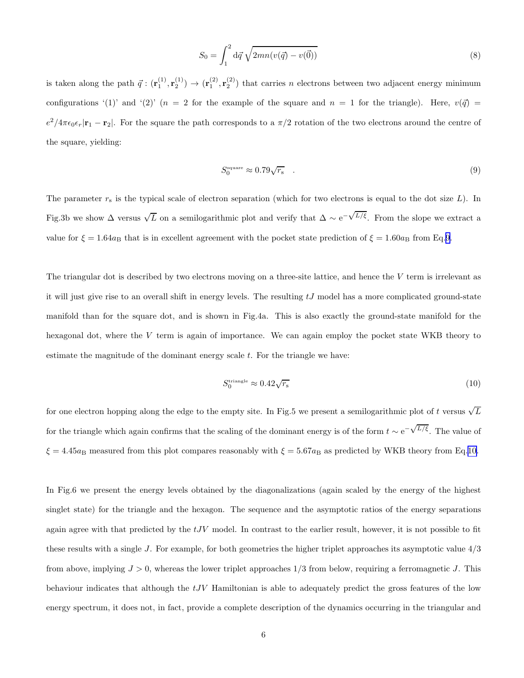$$
S_0 = \int_1^2 d\vec{q} \sqrt{2mn(v(\vec{q}) - v(\vec{0}))}
$$
\n(8)

is taken along the path  $\vec{q} : (\mathbf{r}_1^{(1)}, \mathbf{r}_2^{(1)}) \to (\mathbf{r}_1^{(2)}, \mathbf{r}_2^{(2)})$  that carries n electrons between two adjacent energy minimum configurations '(1)' and '(2)' (n = 2 for the example of the square and n = 1 for the triangle). Here,  $v(\vec{q})$  =  $e^2/4\pi\epsilon_0\epsilon_r|\mathbf{r}_1-\mathbf{r}_2|$ . For the square the path corresponds to a  $\pi/2$  rotation of the two electrons around the centre of the square, yielding:

$$
S_0^{\text{square}} \approx 0.79\sqrt{r_s} \quad . \tag{9}
$$

The parameter  $r_s$  is the typical scale of electron separation (which for two electrons is equal to the dot size  $L$ ). In Fig.3b we show  $\Delta$  versus  $\sqrt{L}$  on a semilogarithmic plot and verify that  $\Delta \sim e^{-\sqrt{L/\xi}}$ . From the slope we extract a value for  $\xi = 1.64a_B$  that is in excellent agreement with the pocket state prediction of  $\xi = 1.60a_B$  from Eq.9.

The triangular dot is described by two electrons moving on a three-site lattice, and hence the V term is irrelevant as it will just give rise to an overall shift in energy levels. The resulting  $tJ$  model has a more complicated ground-state manifold than for the square dot, and is shown in Fig.4a. This is also exactly the ground-state manifold for the hexagonal dot, where the V term is again of importance. We can again employ the pocket state WKB theory to estimate the magnitude of the dominant energy scale  $t$ . For the triangle we have:

$$
S_0^{\text{triangle}} \approx 0.42 \sqrt{r_s} \tag{10}
$$

for one electron hopping along the edge to the empty site. In Fig.5 we present a semilogarithmic plot of t versus  $\sqrt{L}$ for the triangle which again confirms that the scaling of the dominant energy is of the form  $t \sim e^{-\sqrt{L/\xi}}$ . The value of  $\xi = 4.45a_B$  measured from this plot compares reasonably with  $\xi = 5.67a_B$  as predicted by WKB theory from Eq.10.

In Fig.6 we present the energy levels obtained by the diagonalizations (again scaled by the energy of the highest singlet state) for the triangle and the hexagon. The sequence and the asymptotic ratios of the energy separations again agree with that predicted by the  $tJV$  model. In contrast to the earlier result, however, it is not possible to fit these results with a single J. For example, for both geometries the higher triplet approaches its asymptotic value 4/3 from above, implying  $J > 0$ , whereas the lower triplet approaches  $1/3$  from below, requiring a ferromagnetic J. This behaviour indicates that although the tJV Hamiltonian is able to adequately predict the gross features of the low energy spectrum, it does not, in fact, provide a complete description of the dynamics occurring in the triangular and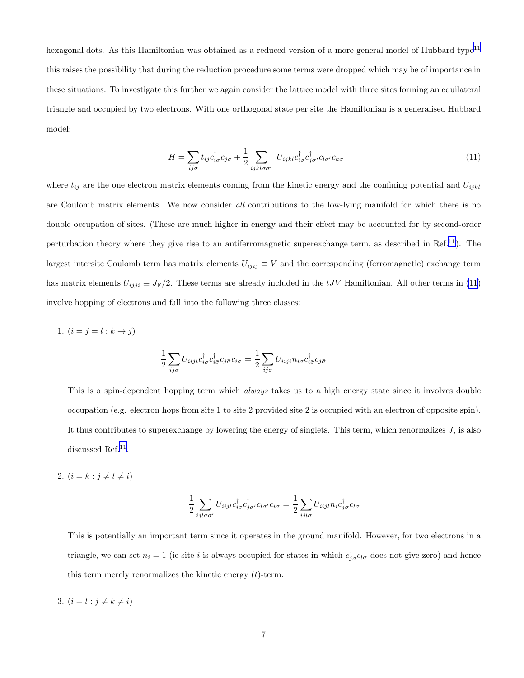hexagonal dots. As this Hamiltonian was obtained as a reduced version of a more general model of Hubbard type<sup>[11](#page-9-0)</sup> this raises the possibility that during the reduction procedure some terms were dropped which may be of importance in these situations. To investigate this further we again consider the lattice model with three sites forming an equilateral triangle and occupied by two electrons. With one orthogonal state per site the Hamiltonian is a generalised Hubbard model:

$$
H = \sum_{ij\sigma} t_{ij} c_{i\sigma}^{\dagger} c_{j\sigma} + \frac{1}{2} \sum_{ijkl\sigma\sigma'} U_{ijkl} c_{i\sigma}^{\dagger} c_{j\sigma'}^{\dagger} c_{l\sigma'} c_{k\sigma}
$$
(11)

where  $t_{ij}$  are the one electron matrix elements coming from the kinetic energy and the confining potential and  $U_{ijkl}$ are Coulomb matrix elements. We now consider all contributions to the low-lying manifold for which there is no double occupation of sites. (These are much higher in energy and their effect may be accounted for by second-order perturbation theory where they give rise to an antiferromagnetic superexchange term, as described in Ref.<sup>[11](#page-9-0)</sup>). The largest intersite Coulomb term has matrix elements  $U_{ijij} \equiv V$  and the corresponding (ferromagnetic) exchange term has matrix elements  $U_{ijji} \equiv J_F/2$ . These terms are already included in the tJV Hamiltonian. All other terms in (11) involve hopping of electrons and fall into the following three classes:

1. 
$$
(i = j = l : k \to j)
$$
  
\n
$$
\frac{1}{2} \sum_{ij\sigma} U_{iiji} c_{i\sigma}^{\dagger} c_{j\bar{\sigma}}^{\dagger} c_{j\bar{\sigma}} c_{i\sigma} = \frac{1}{2} \sum_{ij\sigma} U_{iiji} n_{i\sigma} c_{i\bar{\sigma}}^{\dagger} c_{j\bar{\sigma}}
$$

This is a spin-dependent hopping term which *always* takes us to a high energy state since it involves double occupation (e.g. electron hops from site 1 to site 2 provided site 2 is occupied with an electron of opposite spin). It thus contributes to superexchange by lowering the energy of singlets. This term, which renormalizes  $J$ , is also discussed Ref.<sup>[11](#page-9-0)</sup>.

2.  $(i = k : j \neq l \neq i)$ 

$$
\frac{1}{2} \sum_{ijl\sigma\sigma'} U_{iijl} c_{i\sigma}^{\dagger} c_{j\sigma'}^{\dagger} c_{l\sigma'} c_{i\sigma} = \frac{1}{2} \sum_{ijl\sigma} U_{iijl} n_i c_{j\sigma}^{\dagger} c_{l\sigma}
$$

This is potentially an important term since it operates in the ground manifold. However, for two electrons in a triangle, we can set  $n_i = 1$  (ie site i is always occupied for states in which  $c_{j\sigma}^{\dagger}c_{l\sigma}$  does not give zero) and hence this term merely renormalizes the kinetic energy  $(t)$ -term.

3. 
$$
(i = l : j \neq k \neq i)
$$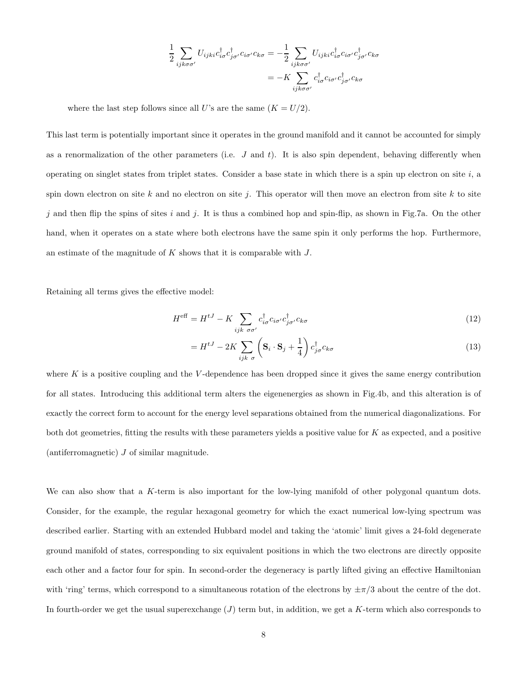$$
\frac{1}{2} \sum_{ijk\sigma\sigma'} U_{ijki} c_{i\sigma}^{\dagger} c_{j\sigma'}^{\dagger} c_{i\sigma'} c_{k\sigma} = -\frac{1}{2} \sum_{ijk\sigma\sigma'} U_{ijki} c_{i\sigma}^{\dagger} c_{i\sigma'} c_{j\sigma'}^{\dagger} c_{k\sigma}
$$
\n
$$
= -K \sum_{ijk\sigma\sigma'} c_{i\sigma}^{\dagger} c_{i\sigma'} c_{j\sigma'}^{\dagger} c_{k\sigma}
$$

<span id="page-7-0"></span>where the last step follows since all U's are the same  $(K = U/2)$ .

This last term is potentially important since it operates in the ground manifold and it cannot be accounted for simply as a renormalization of the other parameters (i.e.  $J$  and  $t$ ). It is also spin dependent, behaving differently when operating on singlet states from triplet states. Consider a base state in which there is a spin up electron on site  $i$ , a spin down electron on site k and no electron on site j. This operator will then move an electron from site k to site i and then flip the spins of sites i and j. It is thus a combined hop and spin-flip, as shown in Fig.7a. On the other hand, when it operates on a state where both electrons have the same spin it only performs the hop. Furthermore, an estimate of the magnitude of K shows that it is comparable with J.

Retaining all terms gives the effective model:

$$
H^{\text{eff}} = H^{tJ} - K \sum_{ijk \ \sigma \sigma'} c_{i\sigma}^{\dagger} c_{i\sigma'} c_{j\sigma'}^{\dagger} c_{k\sigma}
$$
 (12)

$$
=H^{tJ}-2K\sum_{ijk\sigma}\left(\mathbf{S}_{i}\cdot\mathbf{S}_{j}+\frac{1}{4}\right)c_{j\sigma}^{\dagger}c_{k\sigma}
$$
\n(13)

where K is a positive coupling and the V-dependence has been dropped since it gives the same energy contribution for all states. Introducing this additional term alters the eigenenergies as shown in Fig.4b, and this alteration is of exactly the correct form to account for the energy level separations obtained from the numerical diagonalizations. For both dot geometries, fitting the results with these parameters yields a positive value for K as expected, and a positive (antiferromagnetic) J of similar magnitude.

We can also show that a K-term is also important for the low-lying manifold of other polygonal quantum dots. Consider, for the example, the regular hexagonal geometry for which the exact numerical low-lying spectrum was described earlier. Starting with an extended Hubbard model and taking the 'atomic' limit gives a 24-fold degenerate ground manifold of states, corresponding to six equivalent positions in which the two electrons are directly opposite each other and a factor four for spin. In second-order the degeneracy is partly lifted giving an effective Hamiltonian with 'ring' terms, which correspond to a simultaneous rotation of the electrons by  $\pm \pi/3$  about the centre of the dot. In fourth-order we get the usual superexchange  $(J)$  term but, in addition, we get a K-term which also corresponds to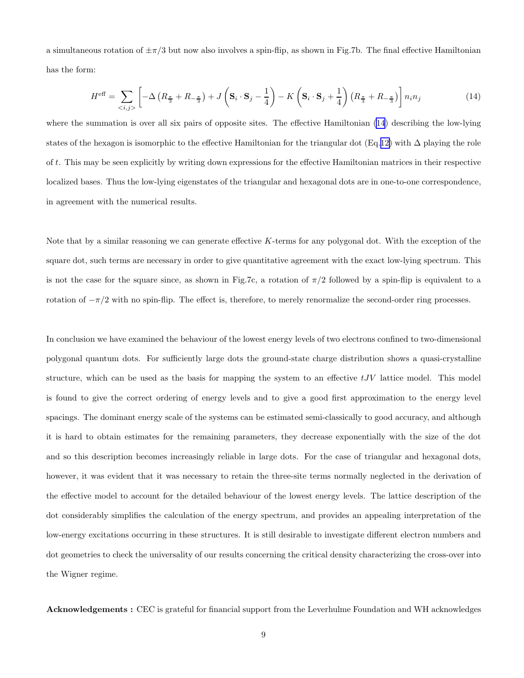a simultaneous rotation of  $\pm \pi/3$  but now also involves a spin-flip, as shown in Fig.7b. The final effective Hamiltonian has the form:

$$
H^{\text{eff}} = \sum_{\langle i,j\rangle} \left[ -\Delta \left( R_{\frac{\pi}{3}} + R_{-\frac{\pi}{3}} \right) + J \left( \mathbf{S}_i \cdot \mathbf{S}_j - \frac{1}{4} \right) - K \left( \mathbf{S}_i \cdot \mathbf{S}_j + \frac{1}{4} \right) \left( R_{\frac{\pi}{3}} + R_{-\frac{\pi}{3}} \right) \right] n_i n_j \tag{14}
$$

where the summation is over all six pairs of opposite sites. The effective Hamiltonian (14) describing the low-lying states of the hexagon is isomorphic to the effective Hamiltonian for the triangular dot (Eq.[12\)](#page-7-0) with  $\Delta$  playing the role of t. This may be seen explicitly by writing down expressions for the effective Hamiltonian matrices in their respective localized bases. Thus the low-lying eigenstates of the triangular and hexagonal dots are in one-to-one correspondence, in agreement with the numerical results.

Note that by a similar reasoning we can generate effective K-terms for any polygonal dot. With the exception of the square dot, such terms are necessary in order to give quantitative agreement with the exact low-lying spectrum. This is not the case for the square since, as shown in Fig.7c, a rotation of  $\pi/2$  followed by a spin-flip is equivalent to a rotation of  $-\pi/2$  with no spin-flip. The effect is, therefore, to merely renormalize the second-order ring processes.

In conclusion we have examined the behaviour of the lowest energy levels of two electrons confined to two-dimensional polygonal quantum dots. For sufficiently large dots the ground-state charge distribution shows a quasi-crystalline structure, which can be used as the basis for mapping the system to an effective  $tJV$  lattice model. This model is found to give the correct ordering of energy levels and to give a good first approximation to the energy level spacings. The dominant energy scale of the systems can be estimated semi-classically to good accuracy, and although it is hard to obtain estimates for the remaining parameters, they decrease exponentially with the size of the dot and so this description becomes increasingly reliable in large dots. For the case of triangular and hexagonal dots, however, it was evident that it was necessary to retain the three-site terms normally neglected in the derivation of the effective model to account for the detailed behaviour of the lowest energy levels. The lattice description of the dot considerably simplifies the calculation of the energy spectrum, and provides an appealing interpretation of the low-energy excitations occurring in these structures. It is still desirable to investigate different electron numbers and dot geometries to check the universality of our results concerning the critical density characterizing the cross-over into the Wigner regime.

Acknowledgements : CEC is grateful for financial support from the Leverhulme Foundation and WH acknowledges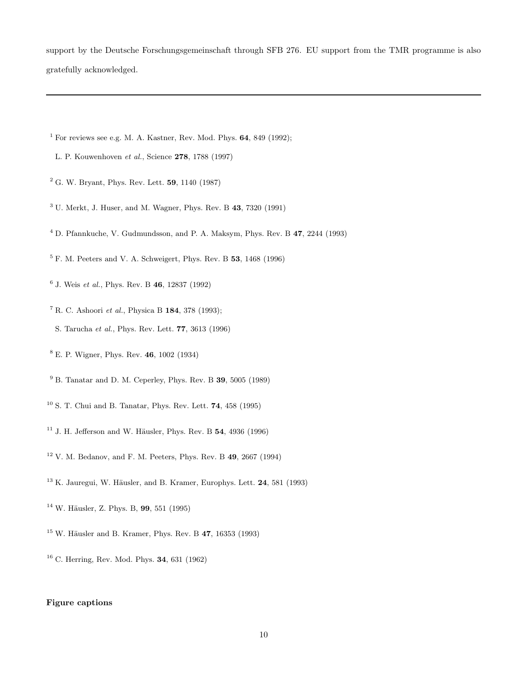<span id="page-9-0"></span>support by the Deutsche Forschungsgemeinschaft through SFB 276. EU support from the TMR programme is also gratefully acknowledged.

- <sup>1</sup> For reviews see e.g. M. A. Kastner, Rev. Mod. Phys. **64**, 849 (1992);
- L. P. Kouwenhoven et al., Science 278, 1788 (1997)
- $2$  G. W. Bryant, Phys. Rev. Lett. **59**, 1140 (1987)
- $3$  U. Merkt, J. Huser, and M. Wagner, Phys. Rev. B 43, 7320 (1991)
- <sup>4</sup> D. Pfannkuche, V. Gudmundsson, and P. A. Maksym, Phys. Rev. B 47, 2244 (1993)
- $5$  F. M. Peeters and V. A. Schweigert, Phys. Rev. B  $53$ , 1468 (1996)
- $^6$  J. Weis *et al.*, Phys. Rev. B 46, 12837 (1992)
- <sup>7</sup> R. C. Ashoori *et al.*, Physica B **184**, 378 (1993);
- S. Tarucha et al., Phys. Rev. Lett. 77, 3613 (1996)
- $8$  E. P. Wigner, Phys. Rev. 46, 1002 (1934)
- $9$  B. Tanatar and D. M. Ceperley, Phys. Rev. B 39, 5005 (1989)
- <sup>10</sup> S. T. Chui and B. Tanatar, Phys. Rev. Lett. **74**, 458 (1995)
- <sup>11</sup> J. H. Jefferson and W. Häusler, Phys. Rev. B  $54$ , 4936 (1996)
- $12$  V. M. Bedanov, and F. M. Peeters, Phys. Rev. B 49, 2667 (1994)
- $13$  K. Jauregui, W. Häusler, and B. Kramer, Europhys. Lett. 24, 581 (1993)
- $14$  W. Häusler, Z. Phys. B, 99, 551 (1995)
- $15$  W. Häusler and B. Kramer, Phys. Rev. B 47, 16353 (1993)
- <sup>16</sup> C. Herring, Rev. Mod. Phys. 34, 631 (1962)

## Figure captions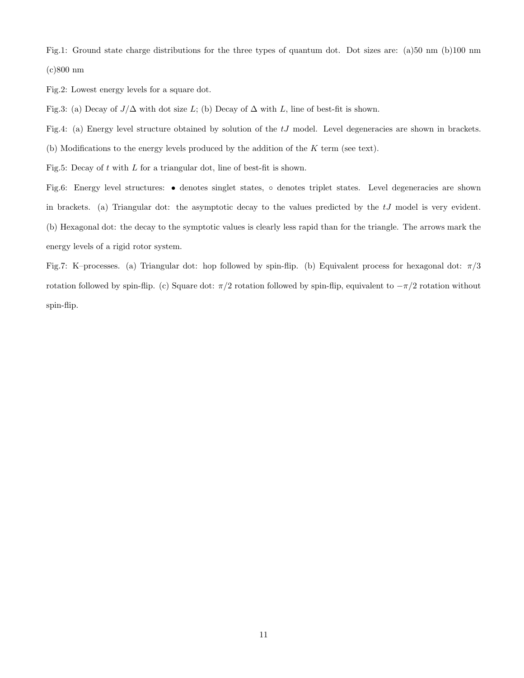Fig.1: Ground state charge distributions for the three types of quantum dot. Dot sizes are: (a)50 nm (b)100 nm (c)800 nm

Fig.2: Lowest energy levels for a square dot.

Fig.3: (a) Decay of  $J/\Delta$  with dot size L; (b) Decay of  $\Delta$  with L, line of best-fit is shown.

Fig.4: (a) Energy level structure obtained by solution of the  $tJ$  model. Level degeneracies are shown in brackets.

(b) Modifications to the energy levels produced by the addition of the K term (see text).

Fig.5: Decay of  $t$  with  $L$  for a triangular dot, line of best-fit is shown.

Fig.6: Energy level structures: • denotes singlet states, ◦ denotes triplet states. Level degeneracies are shown in brackets. (a) Triangular dot: the asymptotic decay to the values predicted by the  $tJ$  model is very evident. (b) Hexagonal dot: the decay to the symptotic values is clearly less rapid than for the triangle. The arrows mark the energy levels of a rigid rotor system.

Fig.7: K–processes. (a) Triangular dot: hop followed by spin-flip. (b) Equivalent process for hexagonal dot:  $\pi/3$ rotation followed by spin-flip. (c) Square dot:  $\pi/2$  rotation followed by spin-flip, equivalent to  $-\pi/2$  rotation without spin-flip.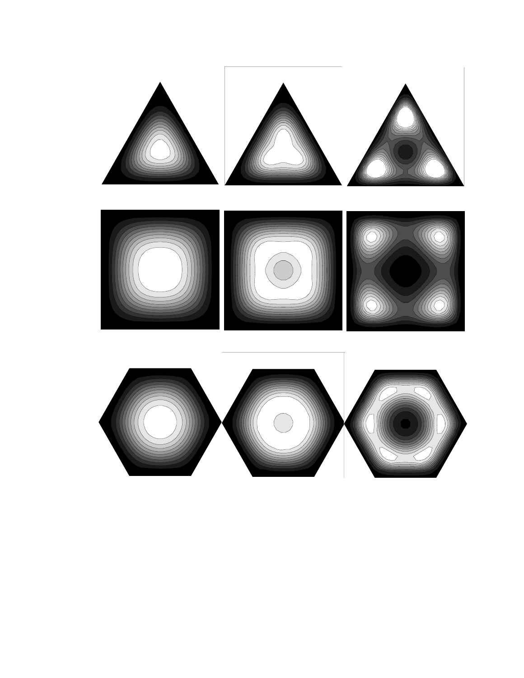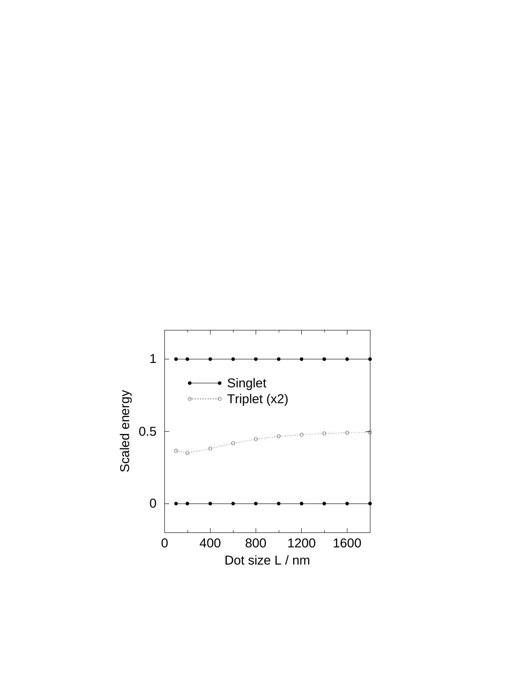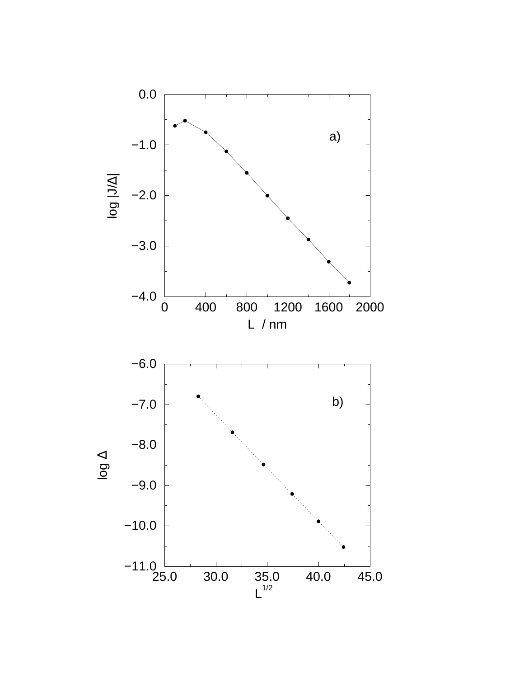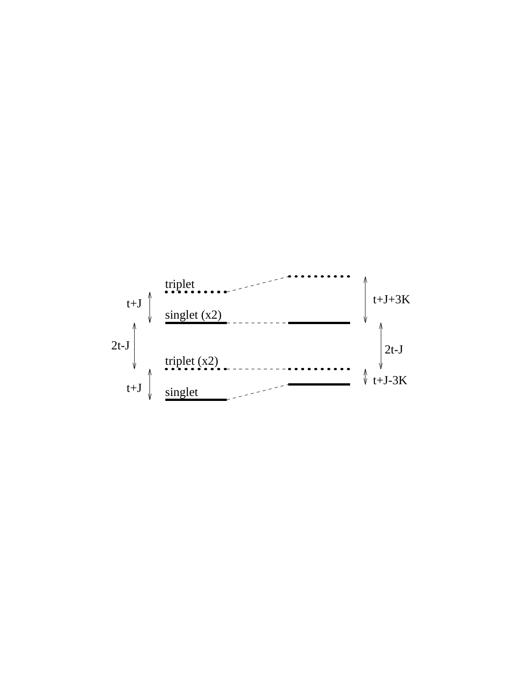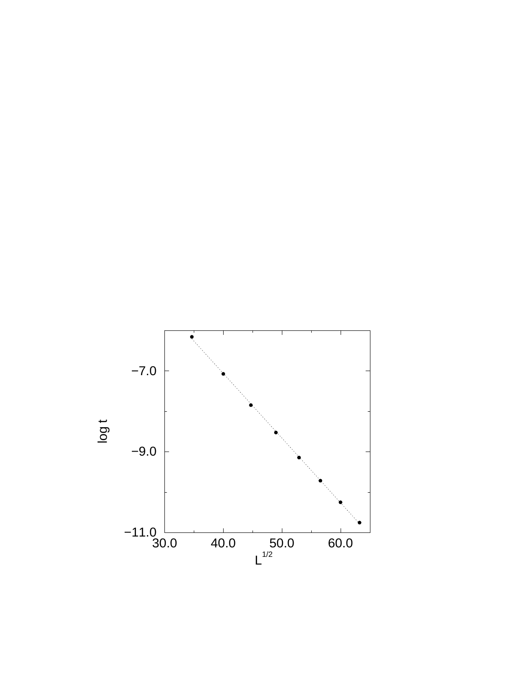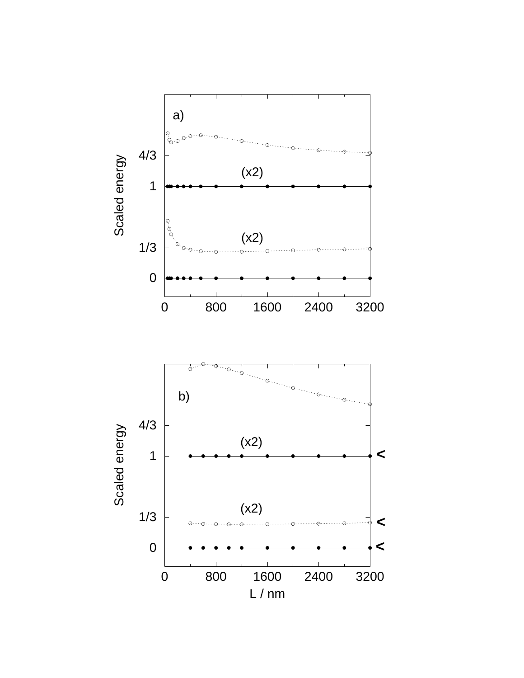